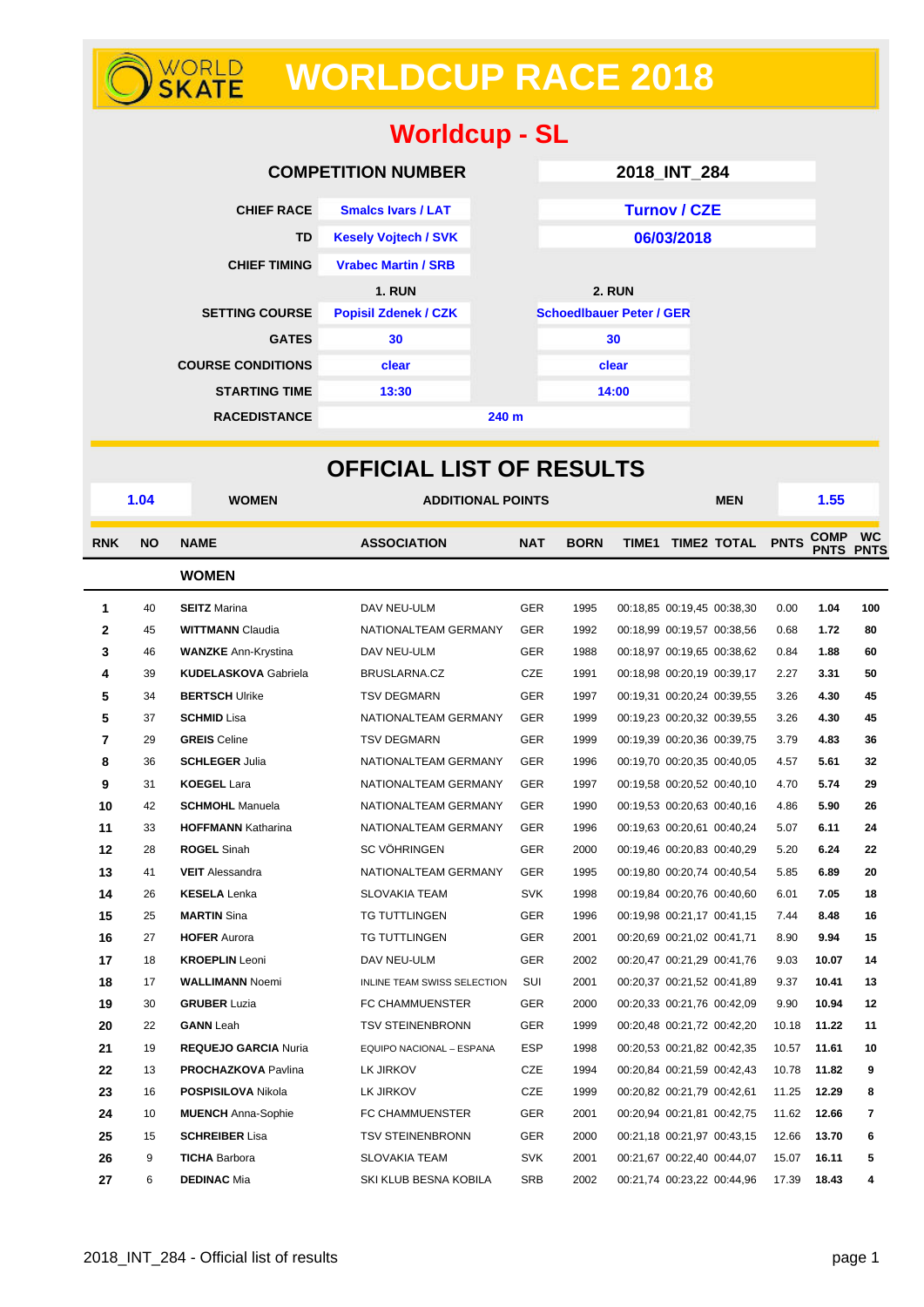# **WORLDCUP RACE 2018**

| <b>Worldcup - SL</b>     |                             |                  |                                 |  |  |  |  |  |
|--------------------------|-----------------------------|------------------|---------------------------------|--|--|--|--|--|
|                          | <b>COMPETITION NUMBER</b>   |                  | 2018_INT_284                    |  |  |  |  |  |
| <b>CHIEF RACE</b>        | <b>Smalcs Ivars / LAT</b>   |                  | <b>Turnov / CZE</b>             |  |  |  |  |  |
| TD                       | <b>Kesely Vojtech / SVK</b> |                  | 06/03/2018                      |  |  |  |  |  |
| <b>CHIEF TIMING</b>      | <b>Vrabec Martin / SRB</b>  |                  |                                 |  |  |  |  |  |
|                          | <b>1. RUN</b>               |                  | <b>2. RUN</b>                   |  |  |  |  |  |
| <b>SETTING COURSE</b>    | <b>Popisil Zdenek / CZK</b> |                  | <b>Schoedlbauer Peter / GER</b> |  |  |  |  |  |
| <b>GATES</b>             | 30                          |                  | 30                              |  |  |  |  |  |
| <b>COURSE CONDITIONS</b> | clear                       |                  | clear                           |  |  |  |  |  |
| <b>STARTING TIME</b>     | 13:30                       |                  | 14:00                           |  |  |  |  |  |
| <b>RACEDISTANCE</b>      |                             | 240 <sub>m</sub> |                                 |  |  |  |  |  |

|                |           |                             | <b>OFFICIAL LIST OF RESULTS</b> |            |             |  |                            |       |             |                               |
|----------------|-----------|-----------------------------|---------------------------------|------------|-------------|--|----------------------------|-------|-------------|-------------------------------|
|                | 1.04      | <b>WOMEN</b>                | <b>ADDITIONAL POINTS</b>        |            |             |  | <b>MEN</b>                 |       | 1.55        |                               |
| <b>RNK</b>     | <b>NO</b> | <b>NAME</b>                 | <b>ASSOCIATION</b>              | <b>NAT</b> | <b>BORN</b> |  | TIME1 TIME2 TOTAL PNTS     |       | <b>COMP</b> | <b>WC</b><br><b>PNTS PNTS</b> |
|                |           | <b>WOMEN</b>                |                                 |            |             |  |                            |       |             |                               |
| 1              | 40        | <b>SEITZ</b> Marina         | DAV NEU-ULM                     | <b>GER</b> | 1995        |  | 00:18,85 00:19,45 00:38,30 | 0.00  | 1.04        | 100                           |
| $\mathbf 2$    | 45        | <b>WITTMANN Claudia</b>     | NATIONALTEAM GERMANY            | <b>GER</b> | 1992        |  | 00:18,99 00:19,57 00:38,56 | 0.68  | 1.72        | 80                            |
| 3              | 46        | <b>WANZKE Ann-Krystina</b>  | DAV NEU-ULM                     | <b>GER</b> | 1988        |  | 00:18,97 00:19,65 00:38,62 | 0.84  | 1.88        | 60                            |
| 4              | 39        | <b>KUDELASKOVA Gabriela</b> | BRUSLARNA.CZ                    | <b>CZE</b> | 1991        |  | 00:18,98 00:20,19 00:39,17 | 2.27  | 3.31        | 50                            |
| 5              | 34        | <b>BERTSCH Ulrike</b>       | <b>TSV DEGMARN</b>              | <b>GER</b> | 1997        |  | 00:19,31 00:20,24 00:39,55 | 3.26  | 4.30        | 45                            |
| 5              | 37        | <b>SCHMID Lisa</b>          | NATIONALTEAM GERMANY            | <b>GER</b> | 1999        |  | 00:19,23 00:20,32 00:39,55 | 3.26  | 4.30        | 45                            |
| $\overline{7}$ | 29        | <b>GREIS</b> Celine         | <b>TSV DEGMARN</b>              | <b>GER</b> | 1999        |  | 00:19,39 00:20,36 00:39,75 | 3.79  | 4.83        | 36                            |
| 8              | 36        | <b>SCHLEGER Julia</b>       | NATIONALTEAM GERMANY            | <b>GER</b> | 1996        |  | 00:19,70 00:20,35 00:40,05 | 4.57  | 5.61        | 32                            |
| 9              | 31        | <b>KOEGEL Lara</b>          | NATIONALTEAM GERMANY            | <b>GER</b> | 1997        |  | 00:19,58 00:20,52 00:40,10 | 4.70  | 5.74        | 29                            |
| 10             | 42        | <b>SCHMOHL</b> Manuela      | NATIONALTEAM GERMANY            | <b>GER</b> | 1990        |  | 00:19,53 00:20,63 00:40,16 | 4.86  | 5.90        | 26                            |
| 11             | 33        | <b>HOFFMANN Katharina</b>   | NATIONALTEAM GERMANY            | GER        | 1996        |  | 00:19,63 00:20,61 00:40,24 | 5.07  | 6.11        | 24                            |
| 12             | 28        | <b>ROGEL Sinah</b>          | <b>SC VÖHRINGEN</b>             | <b>GER</b> | 2000        |  | 00:19.46 00:20.83 00:40.29 | 5.20  | 6.24        | 22                            |
| 13             | 41        | <b>VEIT</b> Alessandra      | NATIONALTEAM GERMANY            | <b>GER</b> | 1995        |  | 00:19,80 00:20,74 00:40,54 | 5.85  | 6.89        | 20                            |
| 14             | 26        | <b>KESELA</b> Lenka         | <b>SLOVAKIA TEAM</b>            | <b>SVK</b> | 1998        |  | 00:19,84 00:20,76 00:40,60 | 6.01  | 7.05        | 18                            |
| 15             | 25        | <b>MARTIN</b> Sina          | TG TUTTLINGEN                   | <b>GER</b> | 1996        |  | 00:19,98 00:21,17 00:41,15 | 7.44  | 8.48        | 16                            |
| 16             | 27        | <b>HOFER Aurora</b>         | TG TUTTLINGEN                   | GER        | 2001        |  | 00:20,69 00:21,02 00:41,71 | 8.90  | 9.94        | 15                            |
| 17             | 18        | <b>KROEPLIN</b> Leoni       | DAV NEU-ULM                     | <b>GER</b> | 2002        |  | 00:20,47 00:21,29 00:41,76 | 9.03  | 10.07       | 14                            |
| 18             | 17        | <b>WALLIMANN Noemi</b>      | INLINE TEAM SWISS SELECTION     | SUI        | 2001        |  | 00:20,37 00:21,52 00:41,89 | 9.37  | 10.41       | 13                            |
| 19             | 30        | <b>GRUBER Luzia</b>         | FC CHAMMUENSTER                 | <b>GER</b> | 2000        |  | 00:20,33 00:21,76 00:42,09 | 9.90  | 10.94       | 12                            |
| 20             | 22        | <b>GANN</b> Leah            | <b>TSV STEINENBRONN</b>         | <b>GER</b> | 1999        |  | 00:20,48 00:21,72 00:42,20 | 10.18 | 11.22       | 11                            |
| 21             | 19        | <b>REQUEJO GARCIA Nuria</b> | EQUIPO NACIONAL - ESPANA        | <b>ESP</b> | 1998        |  | 00:20,53 00:21,82 00:42,35 | 10.57 | 11.61       | 10                            |
| 22             | 13        | <b>PROCHAZKOVA Pavlina</b>  | LK JIRKOV                       | CZE        | 1994        |  | 00:20,84 00:21,59 00:42,43 | 10.78 | 11.82       | 9                             |
| 23             | 16        | POSPISILOVA Nikola          | LK JIRKOV                       | <b>CZE</b> | 1999        |  | 00:20,82 00:21,79 00:42,61 | 11.25 | 12.29       | 8                             |
| 24             | 10        | <b>MUENCH</b> Anna-Sophie   | FC CHAMMUENSTER                 | <b>GER</b> | 2001        |  | 00:20,94 00:21,81 00:42,75 | 11.62 | 12.66       | 7                             |
| 25             | 15        | <b>SCHREIBER Lisa</b>       | <b>TSV STEINENBRONN</b>         | <b>GER</b> | 2000        |  | 00:21,18 00:21,97 00:43,15 | 12.66 | 13.70       | 6                             |
| 26             | 9         | <b>TICHA Barbora</b>        | <b>SLOVAKIA TEAM</b>            | <b>SVK</b> | 2001        |  | 00:21,67 00:22,40 00:44,07 | 15.07 | 16.11       | 5                             |
| 27             | 6         | <b>DEDINAC Mia</b>          | SKI KLUB BESNA KOBILA           | <b>SRB</b> | 2002        |  | 00:21,74 00:23,22 00:44,96 | 17.39 | 18.43       | 4                             |

WORLD<br>**SKATE**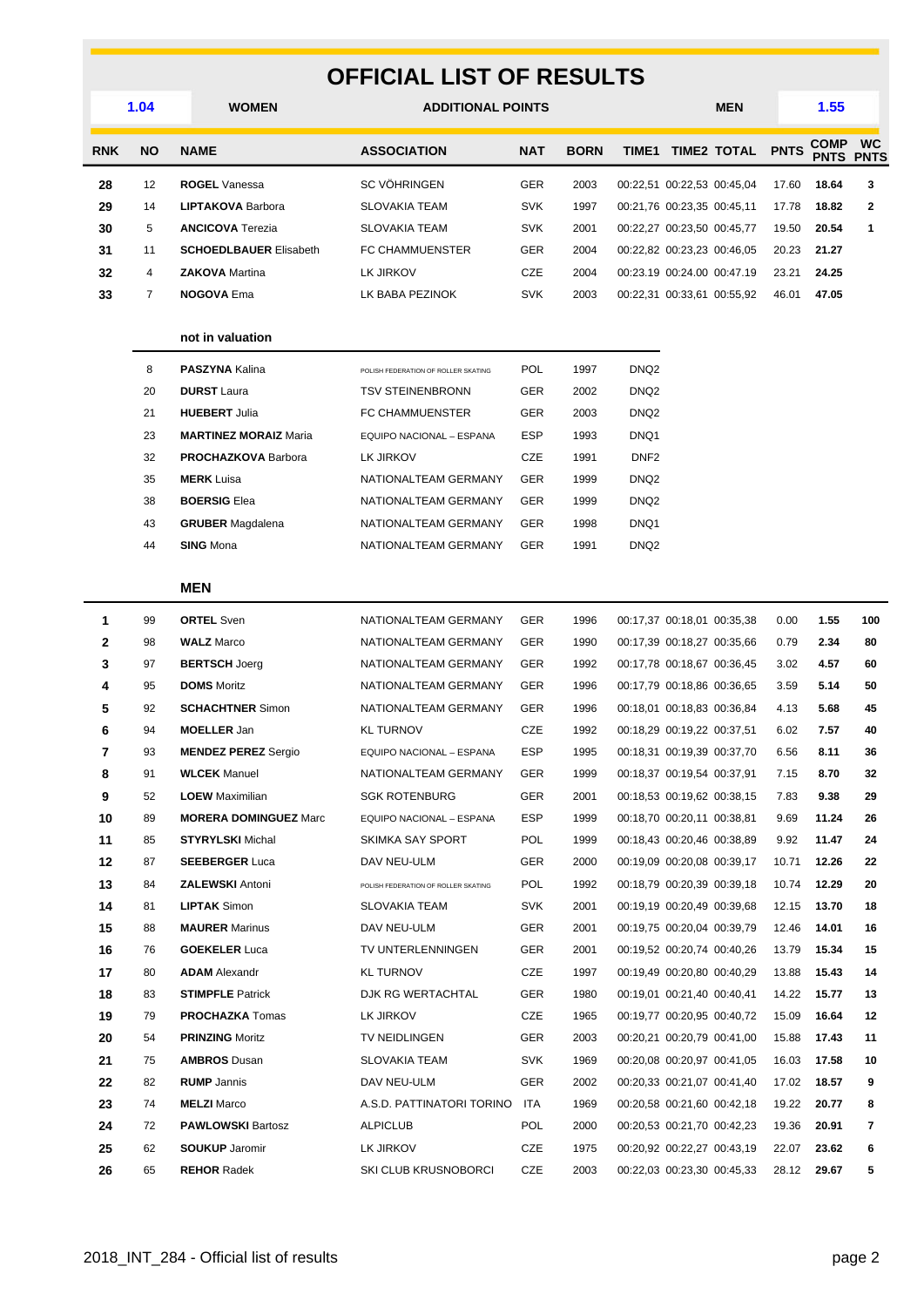### **OFFICIAL LIST OF RESULTS**

|              |           | UFFICIAL LIST UF KESULTS                 |                                     |            |             |                  |                            |                            |             |                            |                          |
|--------------|-----------|------------------------------------------|-------------------------------------|------------|-------------|------------------|----------------------------|----------------------------|-------------|----------------------------|--------------------------|
|              | 1.04      | <b>WOMEN</b><br><b>ADDITIONAL POINTS</b> |                                     |            |             | <b>MEN</b>       |                            | 1.55                       |             |                            |                          |
| <b>RNK</b>   | <b>NO</b> | <b>NAME</b>                              | <b>ASSOCIATION</b>                  | <b>NAT</b> | <b>BORN</b> |                  |                            | TIME1 TIME2 TOTAL          | <b>PNTS</b> | <b>COMP</b><br><b>PNTS</b> | <b>WC</b><br><b>PNTS</b> |
| 28           | 12        | <b>ROGEL Vanessa</b>                     | <b>SC VÖHRINGEN</b>                 | <b>GER</b> | 2003        |                  |                            | 00:22,51 00:22,53 00:45,04 | 17.60       | 18.64                      | 3                        |
| 29           | 14        | <b>LIPTAKOVA Barbora</b>                 | <b>SLOVAKIA TEAM</b>                | <b>SVK</b> | 1997        |                  | 00:21,76 00:23,35 00:45,11 |                            | 17.78       | 18.82                      | $\mathbf{2}$             |
| 30           | 5         | <b>ANCICOVA Terezia</b>                  | <b>SLOVAKIA TEAM</b>                | <b>SVK</b> | 2001        |                  |                            | 00:22,27 00:23,50 00:45,77 | 19.50       | 20.54                      | 1                        |
| 31           | 11        | <b>SCHOEDLBAUER Elisabeth</b>            | <b>FC CHAMMUENSTER</b>              | GER        | 2004        |                  |                            | 00:22,82 00:23,23 00:46,05 | 20.23       | 21.27                      |                          |
| 32           | 4         | <b>ZAKOVA</b> Martina                    | LK JIRKOV                           | CZE        | 2004        |                  |                            | 00:23.19 00:24.00 00:47.19 | 23.21       | 24.25                      |                          |
| 33           | 7         | <b>NOGOVA Ema</b>                        | LK BABA PEZINOK                     | <b>SVK</b> | 2003        |                  |                            | 00:22,31 00:33,61 00:55,92 | 46.01       | 47.05                      |                          |
|              |           | not in valuation                         |                                     |            |             |                  |                            |                            |             |                            |                          |
|              | 8         | <b>PASZYNA Kalina</b>                    | POLISH FEDERATION OF ROLLER SKATING | <b>POL</b> | 1997        | DNQ2             |                            |                            |             |                            |                          |
|              | 20        | <b>DURST</b> Laura                       | <b>TSV STEINENBRONN</b>             | GER        | 2002        | DNQ <sub>2</sub> |                            |                            |             |                            |                          |
|              | 21        | <b>HUEBERT Julia</b>                     | FC CHAMMUENSTER                     | <b>GER</b> | 2003        | DNQ <sub>2</sub> |                            |                            |             |                            |                          |
|              | 23        | <b>MARTINEZ MORAIZ Maria</b>             | EQUIPO NACIONAL - ESPANA            | <b>ESP</b> | 1993        | DNQ1             |                            |                            |             |                            |                          |
|              | 32        | <b>PROCHAZKOVA Barbora</b>               | LK JIRKOV                           | CZE        | 1991        | DNF <sub>2</sub> |                            |                            |             |                            |                          |
|              | 35        | <b>MERK</b> Luisa                        | NATIONALTEAM GERMANY                | <b>GER</b> | 1999        | DNQ <sub>2</sub> |                            |                            |             |                            |                          |
|              | 38        | <b>BOERSIG Elea</b>                      | NATIONALTEAM GERMANY                | <b>GER</b> | 1999        | DNQ <sub>2</sub> |                            |                            |             |                            |                          |
|              | 43        | <b>GRUBER</b> Magdalena                  | NATIONALTEAM GERMANY                | GER        | 1998        | DNQ1             |                            |                            |             |                            |                          |
|              | 44        | <b>SING Mona</b>                         | NATIONALTEAM GERMANY                | <b>GER</b> | 1991        | DNQ <sub>2</sub> |                            |                            |             |                            |                          |
|              |           | <b>MEN</b>                               |                                     |            |             |                  |                            |                            |             |                            |                          |
| $\mathbf{1}$ | 99        | <b>ORTEL Sven</b>                        | NATIONALTEAM GERMANY                | <b>GER</b> | 1996        |                  |                            | 00:17,37 00:18,01 00:35,38 | 0.00        | 1.55                       | 100                      |
| $\mathbf{2}$ | 98        | <b>WALZ Marco</b>                        | NATIONALTEAM GERMANY                | <b>GER</b> | 1990        |                  |                            | 00:17,39 00:18,27 00:35,66 | 0.79        | 2.34                       | 80                       |
| 3            | 97        | <b>BERTSCH Joerg</b>                     | NATIONALTEAM GERMANY                | GER        | 1992        |                  |                            | 00:17,78 00:18,67 00:36,45 | 3.02        | 4.57                       | 60                       |
| 4            | 95        | <b>DOMS</b> Moritz                       | NATIONALTEAM GERMANY                | GER        | 1996        |                  |                            | 00:17,79 00:18,86 00:36,65 | 3.59        | 5.14                       | 50                       |
| 5            | 92        | <b>SCHACHTNER Simon</b>                  | NATIONALTEAM GERMANY                | GER        | 1996        |                  |                            | 00:18,01 00:18,83 00:36,84 | 4.13        | 5.68                       | 45                       |
| 6            | 94        | <b>MOELLER Jan</b>                       | <b>KL TURNOV</b>                    | CZE        | 1992        |                  |                            | 00:18,29 00:19,22 00:37,51 | 6.02        | 7.57                       | 40                       |
| 7            | 93        | <b>MENDEZ PEREZ Sergio</b>               | EQUIPO NACIONAL - ESPANA            | <b>ESP</b> | 1995        |                  |                            | 00:18.31 00:19.39 00:37.70 | 6.56        | 8.11                       | 36                       |
| 8            | 91        | <b>WLCEK</b> Manuel                      | NATIONALTEAM GERMANY                | GER        | 1999        |                  | 00:18,37 00:19,54 00:37,91 |                            | 7.15        | 8.70                       | 32                       |
| 9            | 52        | <b>LOEW</b> Maximilian                   | <b>SGK ROTENBURG</b>                | GER        | 2001        |                  |                            | 00:18,53 00:19,62 00:38,15 | 7.83        | 9.38                       | 29                       |
| 10           | 89        | <b>MORERA DOMINGUEZ Marc</b>             | EQUIPO NACIONAL - ESPANA            | ESP        | 1999        |                  |                            | 00:18,70 00:20,11 00:38,81 | 9.69        | 11.24                      | 26                       |
| 11           | 85        | <b>STYRYLSKI</b> Michal                  | SKIMKA SAY SPORT                    | <b>POL</b> | 1999        |                  |                            | 00:18,43 00:20,46 00:38,89 | 9.92        | 11.47                      | 24                       |
| 12           | 87        | <b>SEEBERGER Luca</b>                    | DAV NEU-ULM                         | GER        | 2000        |                  |                            | 00:19,09 00:20,08 00:39,17 | 10.71       | 12.26                      | 22                       |
| 13           | 84        | <b>ZALEWSKI Antoni</b>                   | POLISH FEDERATION OF ROLLER SKATING | <b>POL</b> | 1992        |                  |                            | 00:18,79 00:20,39 00:39,18 | 10.74       | 12.29                      | 20                       |
| 14           | 81        | <b>LIPTAK Simon</b>                      | <b>SLOVAKIA TEAM</b>                | <b>SVK</b> | 2001        |                  |                            | 00:19,19 00:20,49 00:39,68 | 12.15       | 13.70                      | 18                       |
| 15           | 88        | <b>MAURER</b> Marinus                    | DAV NEU-ULM                         | GER        | 2001        |                  |                            | 00:19.75 00:20.04 00:39.79 | 12.46       | 14.01                      | 16                       |
| 16           | 76        | <b>GOEKELER Luca</b>                     | TV UNTERLENNINGEN                   | GER        | 2001        |                  |                            | 00:19,52 00:20,74 00:40,26 | 13.79       | 15.34                      | 15                       |
| 17           | 80        | <b>ADAM</b> Alexandr                     | KL TURNOV                           | CZE        | 1997        |                  |                            | 00:19,49 00:20,80 00:40,29 | 13.88       | 15.43                      | 14                       |
| 18           | 83        | <b>STIMPFLE Patrick</b>                  | DJK RG WERTACHTAL                   | GER        | 1980        |                  | 00:19,01 00:21,40 00:40,41 |                            | 14.22       | 15.77                      | 13                       |
| 19           | 79        | <b>PROCHAZKA</b> Tomas                   | LK JIRKOV                           | CZE        | 1965        |                  |                            | 00:19,77 00:20,95 00:40,72 | 15.09       | 16.64                      | 12                       |
| 20           | 54        | <b>PRINZING Moritz</b>                   | TV NEIDLINGEN                       | GER        | 2003        |                  |                            | 00:20,21 00:20,79 00:41,00 | 15.88       | 17.43                      | 11                       |

 75 **AMBROS** Dusan SLOVAKIA TEAM SVK 1969 00:20,08 00:20,97 00:41,05 16.03 **17.58 10** 82 **RUMP** Jannis DAV NEU-ULM GER 2002 00:20,33 00:21,07 00:41,40 17.02 **18.57 9** 74 **MELZI** Marco A.S.D. PATTINATORI TORINO ITA 1969 00:20,58 00:21,60 00:42,18 19.22 **20.77 8** 72 **PAWLOWSKI** Bartosz ALPICLUB POL 2000 00:20,53 00:21,70 00:42,23 19.36 **20.91 7** 62 **SOUKUP** Jaromir LK JIRKOV CZE 1975 00:20,92 00:22,27 00:43,19 22.07 **23.62 6** 65 **REHOR** Radek SKI CLUB KRUSNOBORCI CZE 2003 00:22,03 00:23,30 00:45,33 28.12 **29.67 5**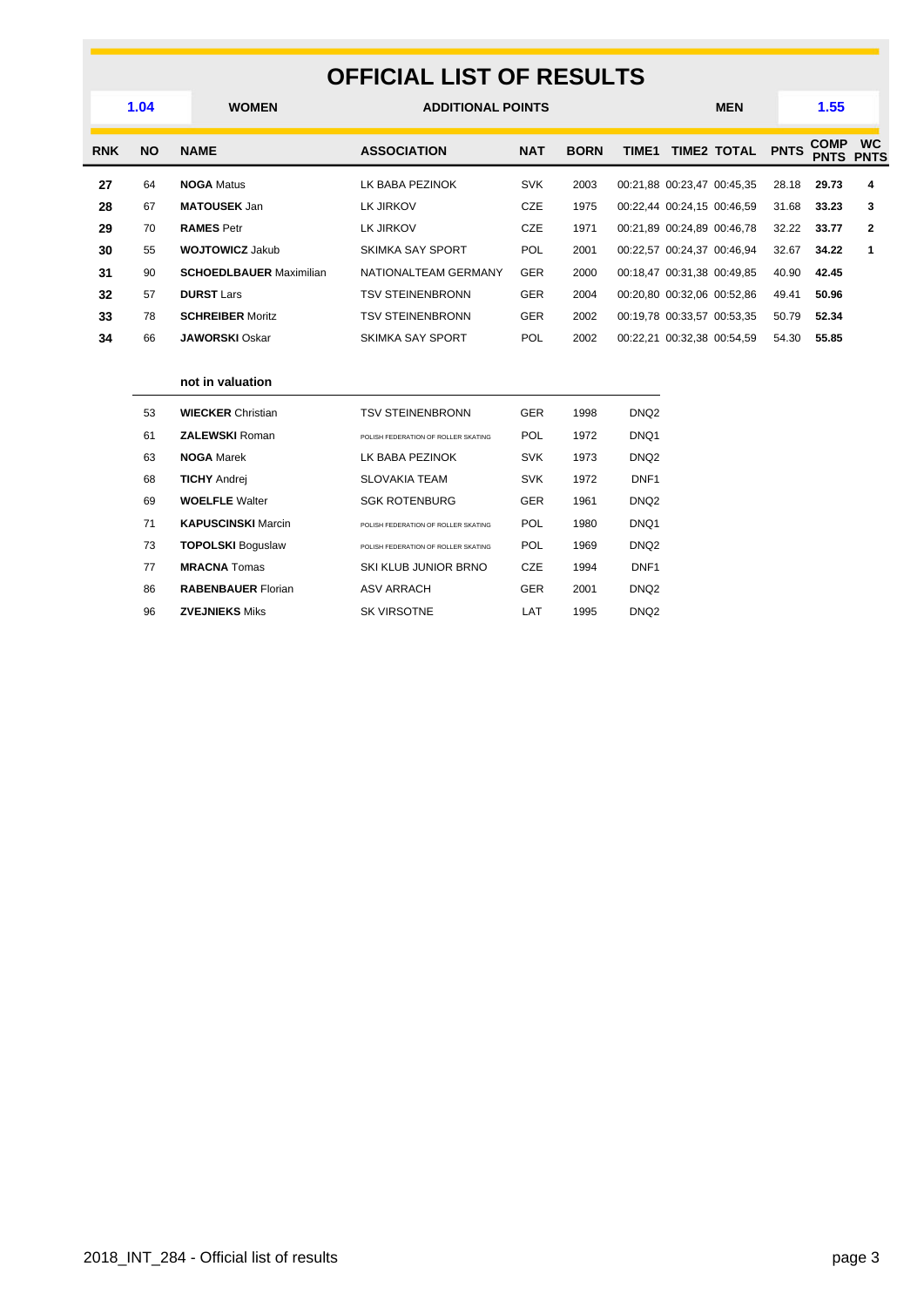### **OFFICIAL LIST OF RESULTS**

|            | 1.04      | <b>WOMEN</b>                   | <b>ADDITIONAL POINTS</b> |            |             |       |                            |             |             | 1.55                       |                          |
|------------|-----------|--------------------------------|--------------------------|------------|-------------|-------|----------------------------|-------------|-------------|----------------------------|--------------------------|
| <b>RNK</b> | <b>NO</b> | <b>NAME</b>                    | <b>ASSOCIATION</b>       | <b>NAT</b> | <b>BORN</b> | TIME1 |                            | TIME2 TOTAL | <b>PNTS</b> | <b>COMP</b><br><b>PNTS</b> | <b>WC</b><br><b>PNTS</b> |
| 27         | 64        | <b>NOGA Matus</b>              | LK BABA PEZINOK          | <b>SVK</b> | 2003        |       | 00:21,88 00:23,47 00:45,35 |             | 28.18       | 29.73                      | 4                        |
| 28         | 67        | <b>MATOUSEK Jan</b>            | LK JIRKOV                | <b>CZE</b> | 1975        |       | 00:22,44 00:24,15 00:46,59 |             | 31.68       | 33.23                      | 3                        |
| 29         | 70        | <b>RAMES Petr</b>              | LK JIRKOV                | <b>CZE</b> | 1971        |       | 00:21.89 00:24.89 00:46.78 |             | 32.22       | 33.77                      | 2                        |
| 30         | 55        | <b>WOJTOWICZ Jakub</b>         | <b>SKIMKA SAY SPORT</b>  | <b>POL</b> | 2001        |       | 00:22,57 00:24,37 00:46,94 |             | 32.67       | 34.22                      |                          |
| 31         | 90        | <b>SCHOEDLBAUER Maximilian</b> | NATIONALTEAM GERMANY     | <b>GER</b> | 2000        |       | 00:18,47 00:31,38 00:49,85 |             | 40.90       | 42.45                      |                          |
| 32         | 57        | <b>DURST Lars</b>              | <b>TSV STEINENBRONN</b>  | <b>GER</b> | 2004        |       | 00:20,80 00:32,06 00:52,86 |             | 49.41       | 50.96                      |                          |
| 33         | 78        | <b>SCHREIBER Moritz</b>        | <b>TSV STEINENBRONN</b>  | <b>GER</b> | 2002        |       | 00:19,78 00:33,57 00:53,35 |             | 50.79       | 52.34                      |                          |
| 34         | 66        | <b>JAWORSKI</b> Oskar          | <b>SKIMKA SAY SPORT</b>  | <b>POL</b> | 2002        |       | 00:22,21 00:32,38 00:54,59 |             | 54.30       | 55.85                      |                          |
|            |           |                                |                          |            |             |       |                            |             |             |                            |                          |

#### **not in valuation**

| 53 | <b>WIECKER Christian</b>  | <b>TSV STEINENBRONN</b>              | <b>GER</b> | 1998 | DNQ <sub>2</sub>  |
|----|---------------------------|--------------------------------------|------------|------|-------------------|
| 61 | <b>ZALEWSKI Roman</b>     | POLISH FEDERATION OF ROLLER SKATING. | POL        | 1972 | DNQ1              |
| 63 | <b>NOGA Marek</b>         | LK BABA PEZINOK                      | <b>SVK</b> | 1973 | DNQ <sub>2</sub>  |
| 68 | <b>TICHY Andrei</b>       | <b>SLOVAKIA TEAM</b>                 | <b>SVK</b> | 1972 | DNF <sub>1</sub>  |
| 69 | <b>WOELFLE</b> Walter     | <b>SGK ROTENBURG</b>                 | <b>GER</b> | 1961 | DN <sub>Q</sub> 2 |
| 71 | <b>KAPUSCINSKI</b> Marcin | POLISH FEDERATION OF ROLLER SKATING. | POL        | 1980 | DNQ1              |
| 73 | <b>TOPOLSKI Boguslaw</b>  | POLISH FEDERATION OF ROLLER SKATING. | POL        | 1969 | DNQ <sub>2</sub>  |
| 77 | <b>MRACNA</b> Tomas       | SKI KLUB JUNIOR BRNO                 | CZE        | 1994 | DNF <sub>1</sub>  |
| 86 | <b>RABENBAUER Florian</b> | <b>ASV ARRACH</b>                    | <b>GER</b> | 2001 | DNQ <sub>2</sub>  |
| 96 | <b>ZVEJNIEKS Miks</b>     | <b>SK VIRSOTNE</b>                   | LAT        | 1995 | DNQ <sub>2</sub>  |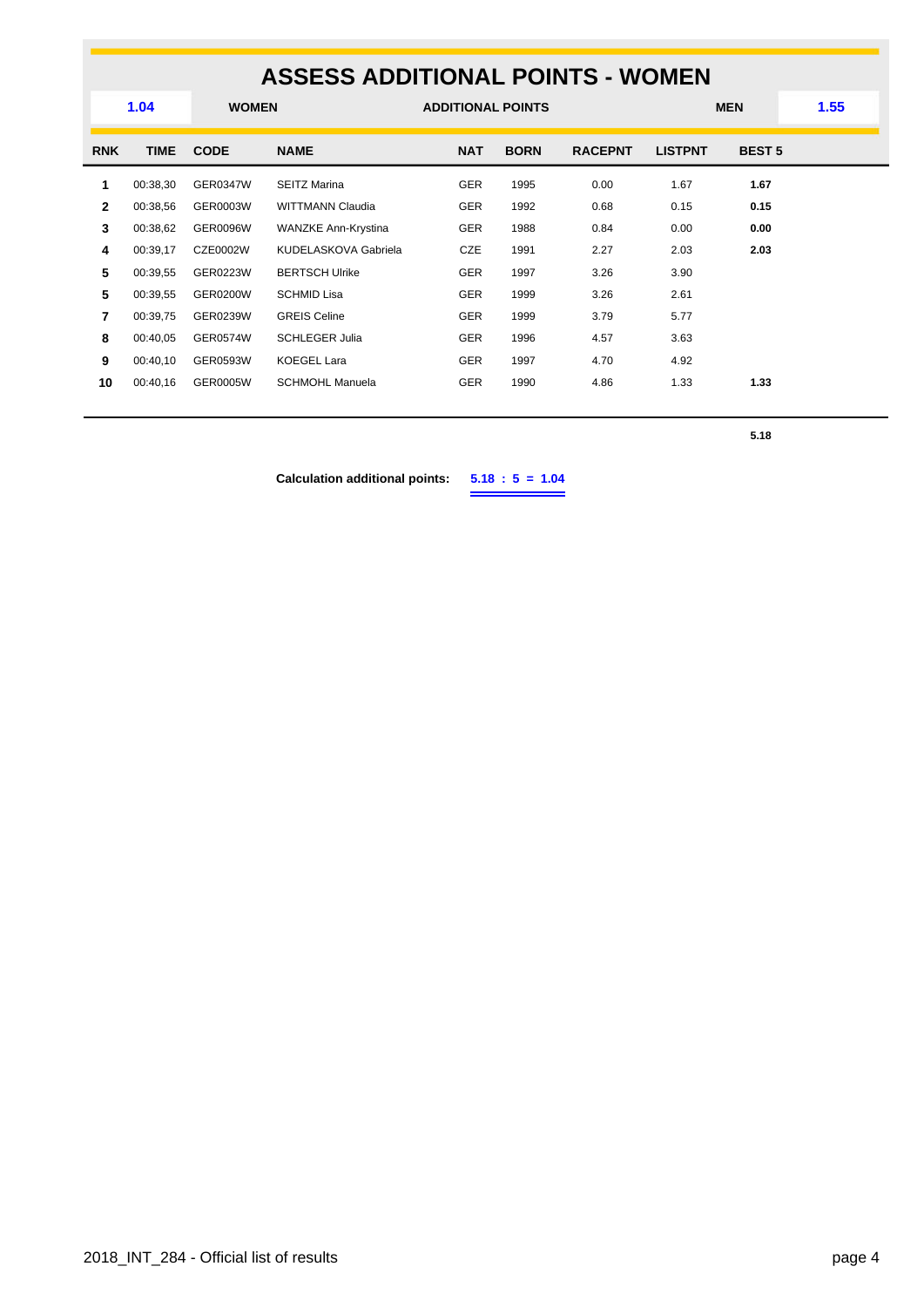## **ASSESS ADDITIONAL POINTS - WOMEN**

|              | 1.04        | <b>WOMEN</b>    |                         | <b>ADDITIONAL POINTS</b> |             |                |                | <b>MEN</b>    | 1.55 |  |
|--------------|-------------|-----------------|-------------------------|--------------------------|-------------|----------------|----------------|---------------|------|--|
| <b>RNK</b>   | <b>TIME</b> | <b>CODE</b>     | <b>NAME</b>             | <b>NAT</b>               | <b>BORN</b> | <b>RACEPNT</b> | <b>LISTPNT</b> | <b>BEST 5</b> |      |  |
| 1            | 00:38,30    | GER0347W        | <b>SEITZ Marina</b>     | <b>GER</b>               | 1995        | 0.00           | 1.67           | 1.67          |      |  |
| $\mathbf{2}$ | 00:38,56    | GER0003W        | <b>WITTMANN Claudia</b> | <b>GER</b>               | 1992        | 0.68           | 0.15           | 0.15          |      |  |
| 3            | 00:38,62    | <b>GER0096W</b> | WANZKE Ann-Krystina     | <b>GER</b>               | 1988        | 0.84           | 0.00           | 0.00          |      |  |
| 4            | 00:39,17    | CZE0002W        | KUDELASKOVA Gabriela    | CZE                      | 1991        | 2.27           | 2.03           | 2.03          |      |  |
| 5            | 00:39.55    | GER0223W        | <b>BERTSCH Ulrike</b>   | <b>GER</b>               | 1997        | 3.26           | 3.90           |               |      |  |
| 5            | 00:39.55    | <b>GER0200W</b> | <b>SCHMID Lisa</b>      | <b>GER</b>               | 1999        | 3.26           | 2.61           |               |      |  |
| 7            | 00:39,75    | GER0239W        | <b>GREIS Celine</b>     | <b>GER</b>               | 1999        | 3.79           | 5.77           |               |      |  |
| 8            | 00:40.05    | GER0574W        | <b>SCHLEGER Julia</b>   | <b>GER</b>               | 1996        | 4.57           | 3.63           |               |      |  |
| 9            | 00:40,10    | GER0593W        | <b>KOEGEL Lara</b>      | <b>GER</b>               | 1997        | 4.70           | 4.92           |               |      |  |
| 10           | 00:40,16    | GER0005W        | <b>SCHMOHL Manuela</b>  | <b>GER</b>               | 1990        | 4.86           | 1.33           | 1.33          |      |  |
|              |             |                 |                         |                          |             |                |                |               |      |  |

**5.18**

**Calculation additional points: 5.18 : 5 = 1.04**